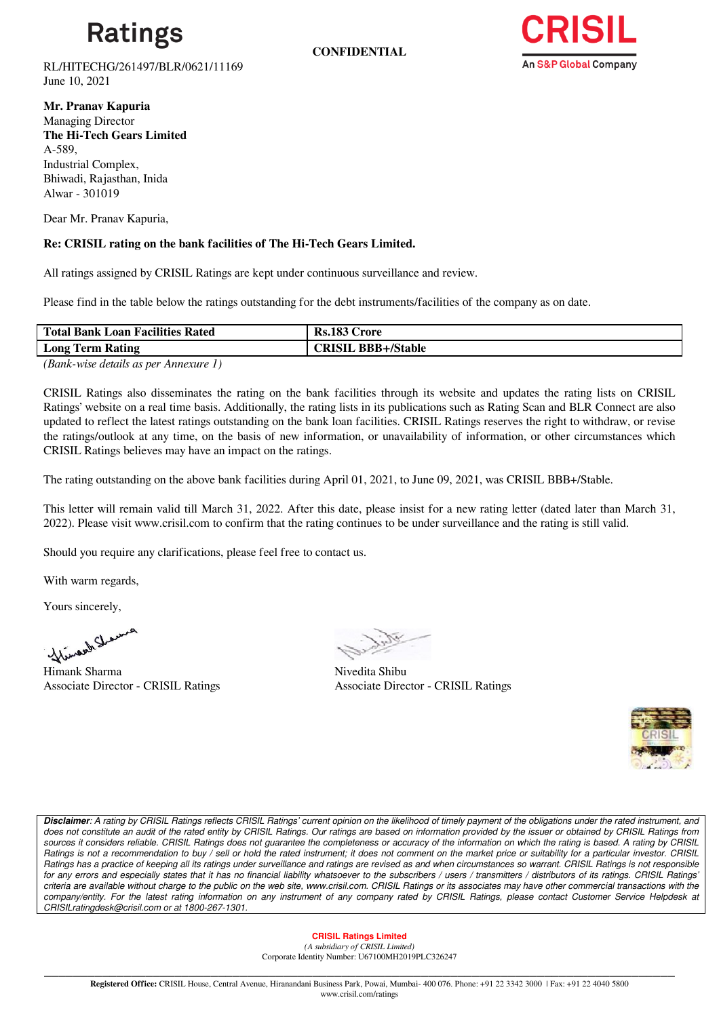

**CONFIDENTIAL**



RL/HITECHG/261497/BLR/0621/11169 June 10, 2021

**Mr. Pranav Kapuria** Managing Director **The Hi-Tech Gears Limited** A-589, Industrial Complex, Bhiwadi, Rajasthan, Inida Alwar - 301019

Dear Mr. Pranav Kapuria,

## **Re: CRISIL rating on the bank facilities of The Hi-Tech Gears Limited.**

All ratings assigned by CRISIL Ratings are kept under continuous surveillance and review.

Please find in the table below the ratings outstanding for the debt instruments/facilities of the company as on date.

| <b>Total Bank Loan Facilities Rated</b> | <b>Rs.183 Crore</b>       |
|-----------------------------------------|---------------------------|
| <b>Long Term Rating</b>                 | <b>CRISIL BBB+/Stable</b> |

*(Bank-wise details as per Annexure 1)*

CRISIL Ratings also disseminates the rating on the bank facilities through its website and updates the rating lists on CRISIL Ratings' website on a real time basis. Additionally, the rating lists in its publications such as Rating Scan and BLR Connect are also updated to reflect the latest ratings outstanding on the bank loan facilities. CRISIL Ratings reserves the right to withdraw, or revise the ratings/outlook at any time, on the basis of new information, or unavailability of information, or other circumstances which CRISIL Ratings believes may have an impact on the ratings.

The rating outstanding on the above bank facilities during April 01, 2021, to June 09, 2021, was CRISIL BBB+/Stable.

This letter will remain valid till March 31, 2022. After this date, please insist for a new rating letter (dated later than March 31, 2022). Please visit www.crisil.com to confirm that the rating continues to be under surveillance and the rating is still valid.

Should you require any clarifications, please feel free to contact us.

With warm regards,

Yours sincerely,

Mines Alimank Sharma Nivedita Shibu

Associate Director - CRISIL Ratings

Associate Director - CRISIL Ratings



*Disclaimer: A rating by CRISIL Ratings reflects CRISIL Ratings' current opinion on the likelihood of timely payment of the obligations under the rated instrument, and does not constitute an audit of the rated entity by CRISIL Ratings. Our ratings are based on information provided by the issuer or obtained by CRISIL Ratings from sources it considers reliable. CRISIL Ratings does not guarantee the completeness or accuracy of the information on which the rating is based. A rating by CRISIL Ratings is not a recommendation to buy / sell or hold the rated instrument; it does not comment on the market price or suitability for a particular investor. CRISIL Ratings has a practice of keeping all its ratings under surveillance and ratings are revised as and when circumstances so warrant. CRISIL Ratings is not responsible for any errors and especially states that it has no financial liability whatsoever to the subscribers / users / transmitters / distributors of its ratings. CRISIL Ratings' criteria are available without charge to the public on the web site, www.crisil.com. CRISIL Ratings or its associates may have other commercial transactions with the*  company/entity. For the latest rating information on any instrument of any company rated by CRISIL Ratings, please contact Customer Service Helpdesk at *CRISILratingdesk@crisil.com or at 1800-267-1301.*

#### **CRISIL Ratings Limited**

*(A subsidiary of CRISIL Limited)*  Corporate Identity Number: U67100MH2019PLC326247